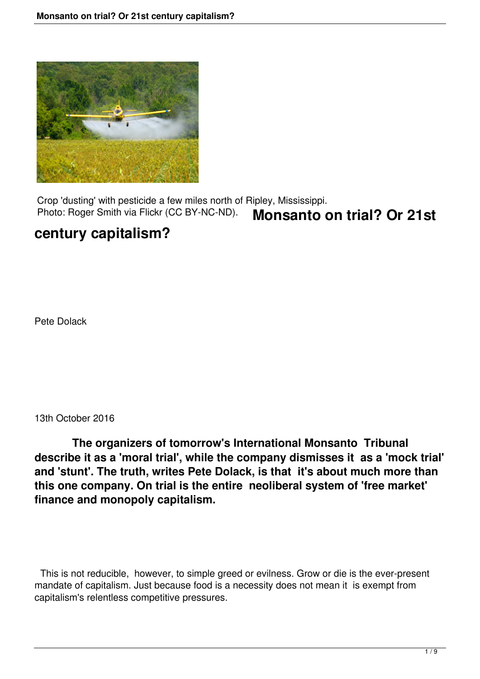

 Crop 'dusting' with pesticide a few miles north of Ripley, Mississippi. Photo: Roger Smith via Flickr (CC BY-NC-ND). **Monsanto on trial? Or 21st**

# **century capitalism?**

Pete Dolack

13th October 2016

 **The organizers of tomorrow's International Monsanto Tribunal describe it as a 'moral trial', while the company dismisses it as a 'mock trial' and 'stunt'. The truth, writes Pete Dolack, is that it's about much more than this one company. On trial is the entire neoliberal system of 'free market' finance and monopoly capitalism.**

 This is not reducible, however, to simple greed or evilness. Grow or die is the ever-present mandate of capitalism. Just because food is a necessity does not mean it is exempt from capitalism's relentless competitive pressures.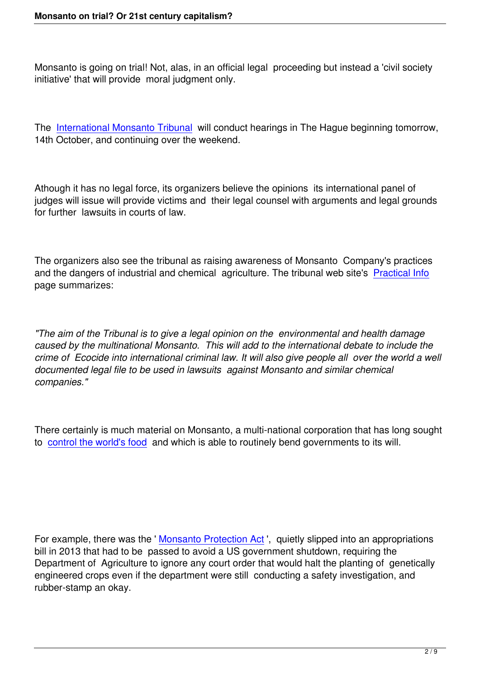Monsanto is going on trial! Not, alas, in an official legal proceeding but instead a 'civil society initiative' that will provide moral judgment only.

The International Monsanto Tribunal will conduct hearings in The Hague beginning tomorrow, 14th October, and continuing over the weekend.

Athough it has no legal force, its organizers believe the opinions its international panel of judges will issue will provide victims and their legal counsel with arguments and legal grounds for further lawsuits in courts of law.

The organizers also see the tribunal as raising awareness of Monsanto Company's practices and the dangers of industrial and chemical agriculture. The tribunal web site's Practical Info page summarizes:

*"The aim of the Tribunal is to give a legal opinion on the environmental and health damage caused by the multinational Monsanto. This will add to the international debate to include the crime of Ecocide into international criminal law. It will also give people all over the world a well documented legal file to be used in lawsuits against Monsanto and similar chemical companies."*

There certainly is much material on Monsanto, a multi-national corporation that has long sought to control the world's food and which is able to routinely bend governments to its will.

For example, there was the 'Monsanto Protection Act', quietly slipped into an appropriations bill in 2013 that had to be passed to avoid a US government shutdown, requiring the Department of Agriculture to ignore any court order that would halt the planting of genetically engineered crops even if the [department were still con](https://foodfirst.org/the-monsanto-protection-act-of-betrayal/)ducting a safety investigation, and rubber-stamp an okay.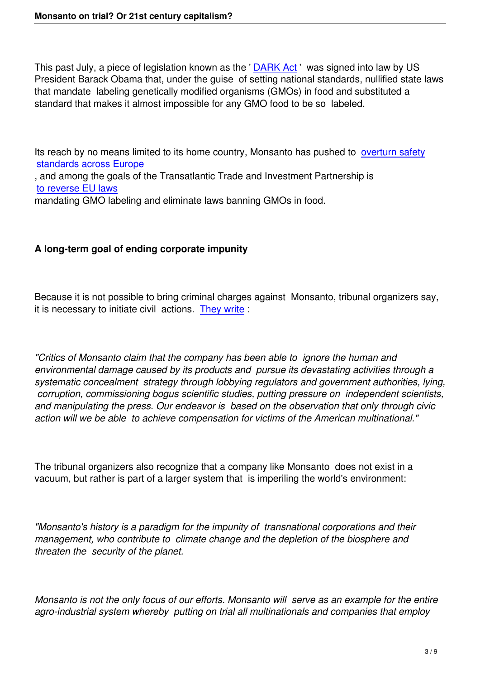This past July, a piece of legislation known as the 'DARK Act' was signed into law by US President Barack Obama that, under the guise of setting national standards, nullified state laws that mandate labeling genetically modified organisms (GMOs) in food and substituted a standard that makes it almost impossible for any G[MO food to](http://www.salon.com/2016/08/07/obamas-gmo-embarrassment-why-the-new-labeling-bill-just-signed-into-law-is-a-sham_partner/) be so labeled.

Its reach by no means limited to its home country, Monsanto has pushed to overturn safety standards across Europe

, and among the goals of the Transatlantic Trade and Investment Partnership is to reverse EU laws

[mandating GMO labeling a](https://systemicdisorder.wordpress.com/2015/05/27/marching-on-monsanto/)nd eliminate laws banning GMOs in food.

## **A long-term goal of ending corporate impunity**

Because it is not possible to bring criminal charges against Monsanto, tribunal organizers say, it is necessary to initiate civil actions. They write :

*"Critics of Monsanto claim that the co[mpany has b](http://www.monsanto-tribunal.org/How)een able to ignore the human and environmental damage caused by its products and pursue its devastating activities through a systematic concealment strategy through lobbying regulators and government authorities, lying, corruption, commissioning bogus scientific studies, putting pressure on independent scientists, and manipulating the press. Our endeavor is based on the observation that only through civic action will we be able to achieve compensation for victims of the American multinational."*

The tribunal organizers also recognize that a company like Monsanto does not exist in a vacuum, but rather is part of a larger system that is imperiling the world's environment:

*"Monsanto's history is a paradigm for the impunity of transnational corporations and their management, who contribute to climate change and the depletion of the biosphere and threaten the security of the planet.*

*Monsanto is not the only focus of our efforts. Monsanto will serve as an example for the entire agro-industrial system whereby putting on trial all multinationals and companies that employ*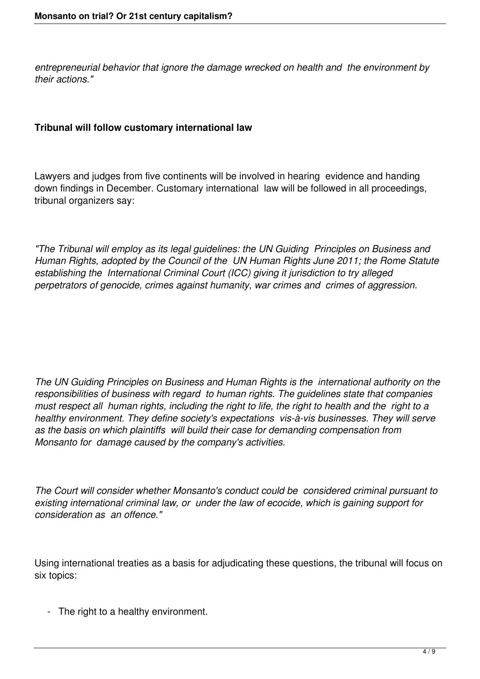*entrepreneurial behavior that ignore the damage wrecked on health and the environment by their actions."*

## **Tribunal will follow customary international law**

Lawyers and judges from five continents will be involved in hearing evidence and handing down findings in December. Customary international law will be followed in all proceedings, tribunal organizers say:

*"The Tribunal will employ as its legal guidelines: the UN Guiding Principles on Business and Human Rights, adopted by the Council of the UN Human Rights June 2011; the Rome Statute establishing the International Criminal Court (ICC) giving it jurisdiction to try alleged perpetrators of genocide, crimes against humanity, war crimes and crimes of aggression.*

*The UN Guiding Principles on Business and Human Rights is the international authority on the responsibilities of business with regard to human rights. The guidelines state that companies must respect all human rights, including the right to life, the right to health and the right to a healthy environment. They define society's expectations vis-à-vis businesses. They will serve as the basis on which plaintiffs will build their case for demanding compensation from Monsanto for damage caused by the company's activities.* 

*The Court will consider whether Monsanto's conduct could be considered criminal pursuant to existing international criminal law, or under the law of ecocide, which is gaining support for consideration as an offence."*

Using international treaties as a basis for adjudicating these questions, the tribunal will focus on six topics:

- The right to a healthy environment.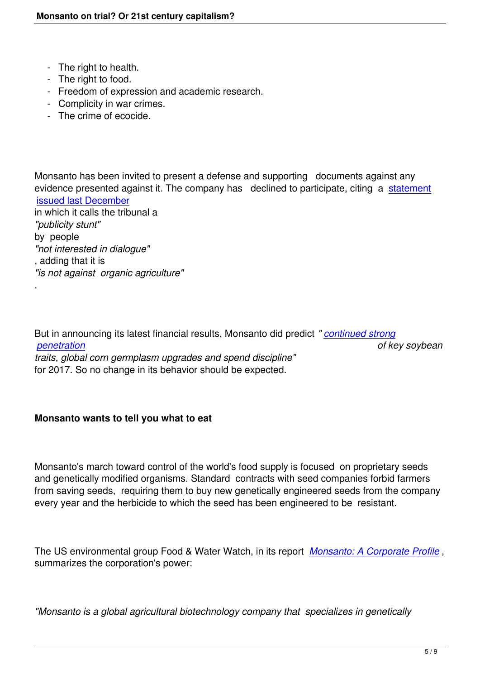- The right to health.
- The right to food.

.

- Freedom of expression and academic research.
- Complicity in war crimes.
- The crime of ecocide.

Monsanto has been invited to present a defense and supporting documents against any evidence presented against it. The company has declined to participate, citing a statement issued last December in which it calls the tribunal a *"publicity stunt"* [by people](http://monsantoblog.com/2015/12/07/setting-the-record-straight-on-the-monsanto-tribunal/)  *"not interested in dialogue"* , adding that it is *"is not against organic agriculture"*

But in announcing its latest financial results, Monsanto did predict *" continued strong penetration of key soybean traits, global corn germplasm upgrades and spend discipline"* for 2017. So no change in its behavior should be expected.

## **Monsanto wants to tell you what to eat**

Monsanto's march toward control of the world's food supply is focused on proprietary seeds and genetically modified organisms. Standard contracts with seed companies forbid farmers from saving seeds, requiring them to buy new genetically engineered seeds from the company every year and the herbicide to which the seed has been engineered to be resistant.

The US environmental group Food & Water Watch, in its report *Monsanto: A Corporate Profile* , summarizes the corporation's power:

*"Monsanto is a global agricultural biotechnology company that specializes in genetically*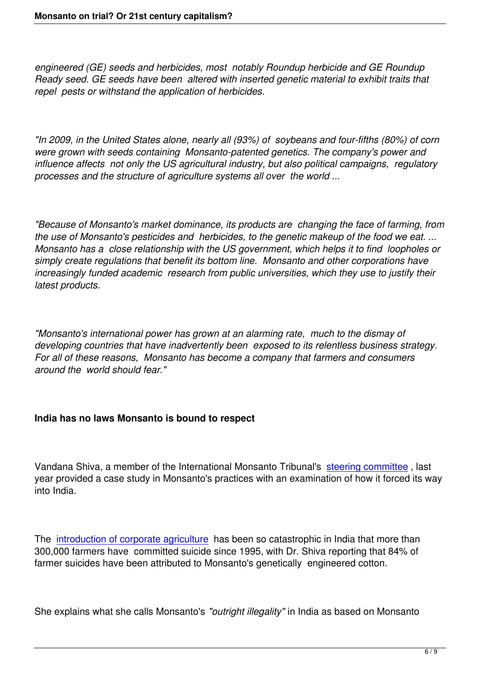*engineered (GE) seeds and herbicides, most notably Roundup herbicide and GE Roundup Ready seed. GE seeds have been altered with inserted genetic material to exhibit traits that repel pests or withstand the application of herbicides.* 

*"In 2009, in the United States alone, nearly all (93%) of soybeans and four-fifths (80%) of corn were grown with seeds containing Monsanto-patented genetics. The company's power and influence affects not only the US agricultural industry, but also political campaigns, regulatory processes and the structure of agriculture systems all over the world ...*

*"Because of Monsanto's market dominance, its products are changing the face of farming, from the use of Monsanto's pesticides and herbicides, to the genetic makeup of the food we eat. ... Monsanto has a close relationship with the US government, which helps it to find loopholes or simply create regulations that benefit its bottom line. Monsanto and other corporations have increasingly funded academic research from public universities, which they use to justify their latest products.* 

*"Monsanto's international power has grown at an alarming rate, much to the dismay of developing countries that have inadvertently been exposed to its relentless business strategy. For all of these reasons, Monsanto has become a company that farmers and consumers around the world should fear."*

## **India has no laws Monsanto is bound to respect**

Vandana Shiva, a member of the International Monsanto Tribunal's steering committee, last year provided a case study in Monsanto's practices with an examination of how it forced its way into India.

The introduction of corporate agriculture has been so catastrophic in India that more than 300,000 farmers have committed suicide since 1995, with Dr. Shiva reporting that 84% of farmer suicides have been attributed to Monsanto's genetically engineered cotton.

She explains what she calls Monsanto's *"outright illegality"* in India as based on Monsanto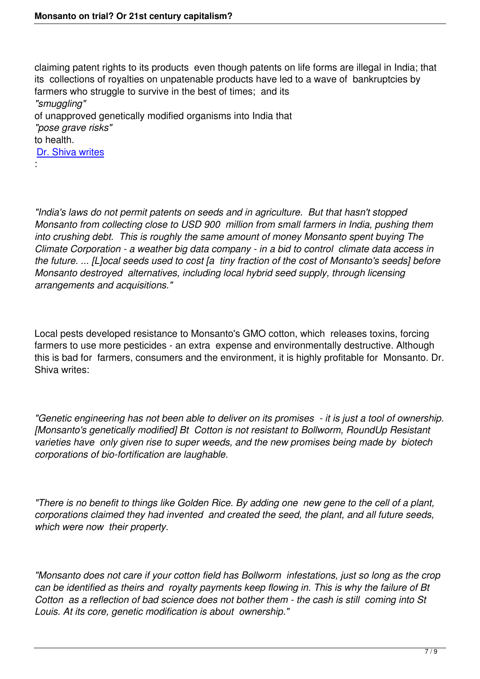claiming patent rights to its products even though patents on life forms are illegal in India; that its collections of royalties on unpatenable products have led to a wave of bankruptcies by farmers who struggle to survive in the best of times; and its *"smuggling"* of unapproved genetically modified organisms into India that *"pose grave risks"* to health. Dr. Shiva writes :

*"India's laws do not permit patents on seeds and in agriculture. But that hasn't stopped Monsanto from collecting close to USD 900 million from small farmers in India, pushing them into crushing debt. This is roughly the same amount of money Monsanto spent buying The Climate Corporation - a weather big data company - in a bid to control climate data access in the future. ... [L]ocal seeds used to cost [a tiny fraction of the cost of Monsanto's seeds] before Monsanto destroyed alternatives, including local hybrid seed supply, through licensing arrangements and acquisitions."*

Local pests developed resistance to Monsanto's GMO cotton, which releases toxins, forcing farmers to use more pesticides - an extra expense and environmentally destructive. Although this is bad for farmers, consumers and the environment, it is highly profitable for Monsanto. Dr. Shiva writes:

*"Genetic engineering has not been able to deliver on its promises - it is just a tool of ownership. [Monsanto's genetically modified] Bt Cotton is not resistant to Bollworm, RoundUp Resistant varieties have only given rise to super weeds, and the new promises being made by biotech corporations of bio-fortification are laughable.*

*"There is no benefit to things like Golden Rice. By adding one new gene to the cell of a plant, corporations claimed they had invented and created the seed, the plant, and all future seeds, which were now their property.*

*"Monsanto does not care if your cotton field has Bollworm infestations, just so long as the crop can be identified as theirs and royalty payments keep flowing in. This is why the failure of Bt Cotton as a reflection of bad science does not bother them - the cash is still coming into St Louis. At its core, genetic modification is about ownership."*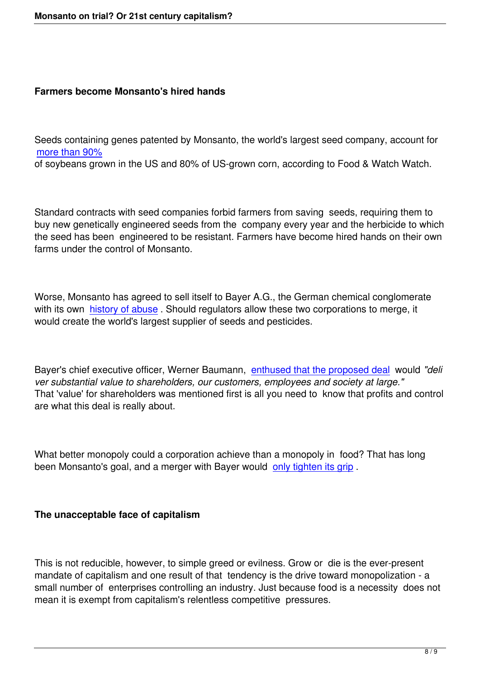#### **Farmers become Monsanto's hired hands**

Seeds containing genes patented by Monsanto, the world's largest seed company, account for more than 90%

of soybeans grown in the US and 80% of US-grown corn, according to Food & Watch Watch.

Standard contracts with seed companies forbid farmers from saving seeds, requiring them to buy new genetically engineered seeds from the company every year and the herbicide to which the seed has been engineered to be resistant. Farmers have become hired hands on their own farms under the control of Monsanto.

Worse, Monsanto has agreed to sell itself to Bayer A.G., the German chemical conglomerate with its own history of abuse. Should regulators allow these two corporations to merge, it would create the world's largest supplier of seeds and pesticides.

Bayer's chief executive officer, Werner Baumann, enthused that the proposed deal would *"deli ver substantial value to shareholders, our customers, employees and society at large."* That 'value' for shareholders was mentioned first is all you need to know that profits and control are what this deal is really about.

What better monopoly could a corporation achieve than a monopoly in food? That has long been Monsanto's goal, and a merger with Bayer would only tighten its grip.

#### **The unacceptable face of capitalism**

This is not reducible, however, to simple greed or evilness. Grow or die is the ever-present mandate of capitalism and one result of that tendency is the drive toward monopolization - a small number of enterprises controlling an industry. Just because food is a necessity does not mean it is exempt from capitalism's relentless competitive pressures.